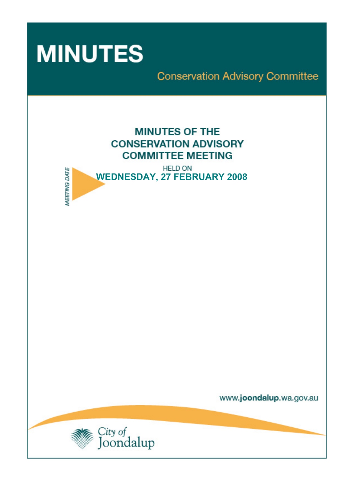

**MEETING DATE** 

**Conservation Advisory Committee** 





www.joondalup.wa.gov.au

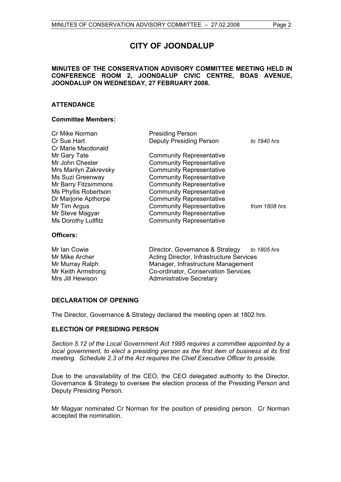# **CITY OF JOONDALUP**

# **MINUTES OF THE CONSERVATION ADVISORY COMMITTEE MEETING HELD IN CONFERENCE ROOM 2, JOONDALUP CIVIC CENTRE, BOAS AVENUE, JOONDALUP ON WEDNESDAY, 27 FEBRUARY 2008.**

# **ATTENDANCE**

# **Committee Members:**

| Cr Mike Norman        | <b>Presiding Person</b>         |               |
|-----------------------|---------------------------------|---------------|
| Cr Sue Hart           | <b>Deputy Presiding Person</b>  | to 1940 hrs   |
| Cr Marie Macdonald    |                                 |               |
| Mr Gary Tate          | <b>Community Representative</b> |               |
| Mr John Chester       | <b>Community Representative</b> |               |
| Mrs Marilyn Zakrevsky | <b>Community Representative</b> |               |
| Ms Suzi Greenway      | <b>Community Representative</b> |               |
| Mr Barry Fitzsimmons  | <b>Community Representative</b> |               |
| Ms Phyllis Robertson  | <b>Community Representative</b> |               |
| Dr Marjorie Apthorpe  | <b>Community Representative</b> |               |
| Mr Tim Argus          | <b>Community Representative</b> | from 1808 hrs |
| Mr Steve Magyar       | <b>Community Representative</b> |               |
| Ms Dorothy Lullfitz   | <b>Community Representative</b> |               |
| Officers:             |                                 |               |

Mr Ian Cowie Director, Governance & Strategy *to 1805 hrs* Mr Mike Archer **Acting Director, Infrastructure Services** Mr Murray Ralph Manager, Infrastructure Management Mr Keith Armstrong Co-ordinator, Conservation Services Mrs Jill Hewison Administrative Secretary

# **DECLARATION OF OPENING**

The Director, Governance & Strategy declared the meeting open at 1802 hrs.

# **ELECTION OF PRESIDING PERSON**

*Section 5.12 of the Local Government Act 1995 requires a committee appointed by a local government, to elect a presiding person as the first item of business at its first meeting. Schedule 2.3 of the Act requires the Chief Executive Officer to preside.* 

Due to the unavailability of the CEO, the CEO delegated authority to the Director, Governance & Strategy to oversee the election process of the Presiding Person and Deputy Presiding Person.

Mr Magyar nominated Cr Norman for the position of presiding person. Cr Norman accepted the nomination.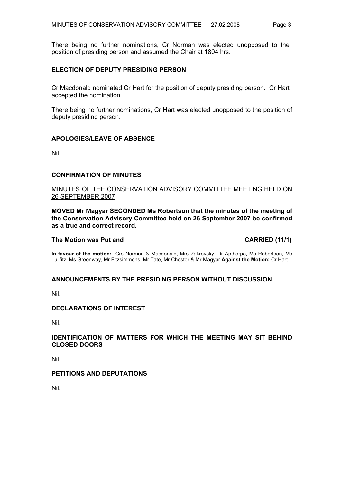There being no further nominations, Cr Norman was elected unopposed to the position of presiding person and assumed the Chair at 1804 hrs.

# **ELECTION OF DEPUTY PRESIDING PERSON**

Cr Macdonald nominated Cr Hart for the position of deputy presiding person. Cr Hart accepted the nomination.

There being no further nominations, Cr Hart was elected unopposed to the position of deputy presiding person.

# **APOLOGIES/LEAVE OF ABSENCE**

Nil.

# **CONFIRMATION OF MINUTES**

# MINUTES OF THE CONSERVATION ADVISORY COMMITTEE MEETING HELD ON 26 SEPTEMBER 2007

**MOVED Mr Magyar SECONDED Ms Robertson that the minutes of the meeting of the Conservation Advisory Committee held on 26 September 2007 be confirmed as a true and correct record.** 

# The Motion was Put and **CARRIED** (11/1)

**In favour of the motion:** Crs Norman & Macdonald, Mrs Zakrevsky, Dr Apthorpe, Ms Robertson, Ms Lullfitz, Ms Greenway, Mr Fitzsimmons, Mr Tate, Mr Chester & Mr Magyar **Against the Motion:** Cr Hart

# **ANNOUNCEMENTS BY THE PRESIDING PERSON WITHOUT DISCUSSION**

Nil.

#### **DECLARATIONS OF INTEREST**

Nil.

# **IDENTIFICATION OF MATTERS FOR WHICH THE MEETING MAY SIT BEHIND CLOSED DOORS**

Nil.

# **PETITIONS AND DEPUTATIONS**

Nil.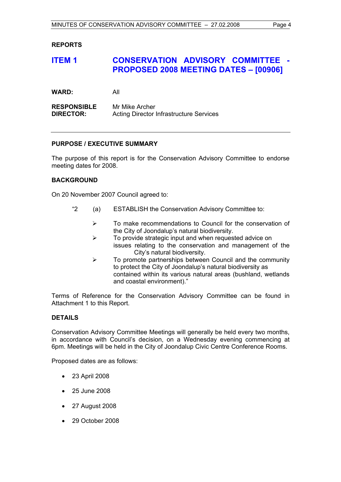# **REPORTS**

# **ITEM 1 CONSERVATION ADVISORY COMMITTEE - PROPOSED 2008 MEETING DATES – [00906]**

**WARD:** All

**RESPONSIBLE** Mr Mike Archer **DIRECTOR:** Acting Director Infrastructure Services

# **PURPOSE / EXECUTIVE SUMMARY**

The purpose of this report is for the Conservation Advisory Committee to endorse meeting dates for 2008.

# **BACKGROUND**

On 20 November 2007 Council agreed to:

- "2 (a) ESTABLISH the Conservation Advisory Committee to:
	- $\triangleright$  To make recommendations to Council for the conservation of the City of Joondalup's natural biodiversity.
	- $\triangleright$  To provide strategic input and when requested advice on issues relating to the conservation and management of the City's natural biodiversity.
	- $\triangleright$  To promote partnerships between Council and the community to protect the City of Joondalup's natural biodiversity as contained within its various natural areas (bushland, wetlands and coastal environment)."

Terms of Reference for the Conservation Advisory Committee can be found in Attachment 1 to this Report.

# **DETAILS**

Conservation Advisory Committee Meetings will generally be held every two months, in accordance with Council's decision, on a Wednesday evening commencing at 6pm. Meetings will be held in the City of Joondalup Civic Centre Conference Rooms.

Proposed dates are as follows:

- 23 April 2008
- 25 June 2008
- 27 August 2008
- 29 October 2008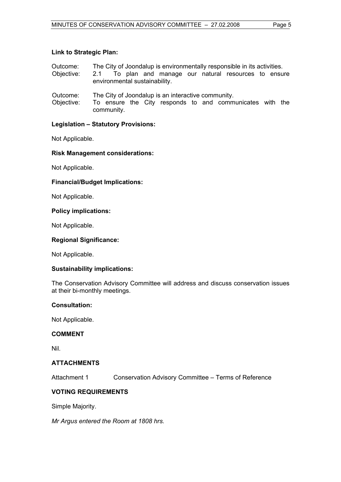# **Link to Strategic Plan:**

| Outcome: |  |  | The City of Joondalup is environmentally responsible in its activities. |
|----------|--|--|-------------------------------------------------------------------------|
|----------|--|--|-------------------------------------------------------------------------|

- Objective: 2.1 To plan and manage our natural resources to ensure environmental sustainability.
- Outcome: The City of Joondalup is an interactive community.
- Objective: To ensure the City responds to and communicates with the community.

# **Legislation – Statutory Provisions:**

Not Applicable.

# **Risk Management considerations:**

Not Applicable.

# **Financial/Budget Implications:**

Not Applicable.

# **Policy implications:**

Not Applicable.

# **Regional Significance:**

Not Applicable.

#### **Sustainability implications:**

The Conservation Advisory Committee will address and discuss conservation issues at their bi-monthly meetings.

#### **Consultation:**

Not Applicable.

#### **COMMENT**

Nil.

# **ATTACHMENTS**

Attachment 1 Conservation Advisory Committee – Terms of Reference

# **VOTING REQUIREMENTS**

Simple Majority.

*Mr Argus entered the Room at 1808 hrs.*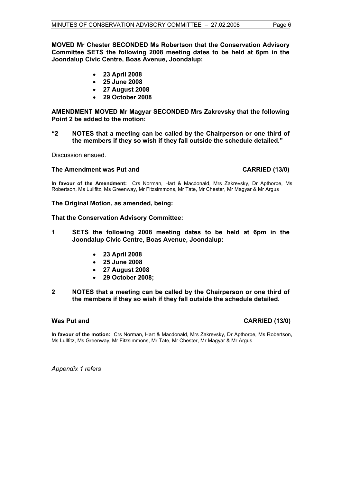**MOVED Mr Chester SECONDED Ms Robertson that the Conservation Advisory Committee SETS the following 2008 meeting dates to be held at 6pm in the Joondalup Civic Centre, Boas Avenue, Joondalup:** 

- **23 April 2008**
- **25 June 2008**
- **27 August 2008**
- **29 October 2008**

**AMENDMENT MOVED Mr Magyar SECONDED Mrs Zakrevsky that the following Point 2 be added to the motion:** 

**"2 NOTES that a meeting can be called by the Chairperson or one third of the members if they so wish if they fall outside the schedule detailed."** 

Discussion ensued.

# The Amendment was Put and **CARRIED** (13/0)

**In favour of the Amendment:** Crs Norman, Hart & Macdonald, Mrs Zakrevsky, Dr Apthorpe, Ms Robertson, Ms Lullfitz, Ms Greenway, Mr Fitzsimmons, Mr Tate, Mr Chester, Mr Magyar & Mr Argus

**The Original Motion, as amended, being:** 

# **That the Conservation Advisory Committee:**

- **1 SETS the following 2008 meeting dates to be held at 6pm in the Joondalup Civic Centre, Boas Avenue, Joondalup:** 
	- **23 April 2008**
	- **25 June 2008**
	- **27 August 2008**
	- **29 October 2008;**

#### **2 NOTES that a meeting can be called by the Chairperson or one third of the members if they so wish if they fall outside the schedule detailed.**

# **Was Put and CARRIED (13/0)**

**In favour of the motion:** Crs Norman, Hart & Macdonald, Mrs Zakrevsky, Dr Apthorpe, Ms Robertson, Ms Lullfitz, Ms Greenway, Mr Fitzsimmons, Mr Tate, Mr Chester, Mr Magyar & Mr Argus

*Appendix 1 refers*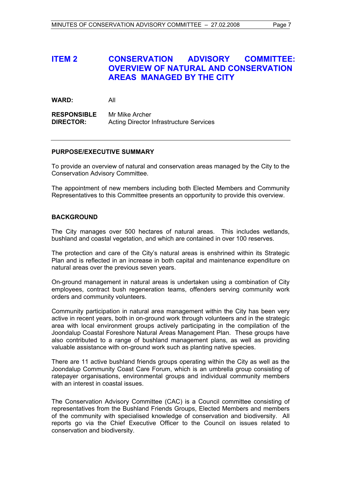# **ITEM 2 CONSERVATION ADVISORY COMMITTEE: OVERVIEW OF NATURAL AND CONSERVATION AREAS MANAGED BY THE CITY**

**WARD:** All

**RESPONSIBLE** Mr Mike Archer **DIRECTOR:** Acting Director Infrastructure Services

# **PURPOSE/EXECUTIVE SUMMARY**

To provide an overview of natural and conservation areas managed by the City to the Conservation Advisory Committee.

The appointment of new members including both Elected Members and Community Representatives to this Committee presents an opportunity to provide this overview.

# **BACKGROUND**

The City manages over 500 hectares of natural areas. This includes wetlands, bushland and coastal vegetation, and which are contained in over 100 reserves.

The protection and care of the City's natural areas is enshrined within its Strategic Plan and is reflected in an increase in both capital and maintenance expenditure on natural areas over the previous seven years.

On-ground management in natural areas is undertaken using a combination of City employees, contract bush regeneration teams, offenders serving community work orders and community volunteers.

Community participation in natural area management within the City has been very active in recent years, both in on-ground work through volunteers and in the strategic area with local environment groups actively participating in the compilation of the Joondalup Coastal Foreshore Natural Areas Management Plan. These groups have also contributed to a range of bushland management plans, as well as providing valuable assistance with on-ground work such as planting native species.

There are 11 active bushland friends groups operating within the City as well as the Joondalup Community Coast Care Forum, which is an umbrella group consisting of ratepayer organisations, environmental groups and individual community members with an interest in coastal issues.

The Conservation Advisory Committee (CAC) is a Council committee consisting of representatives from the Bushland Friends Groups, Elected Members and members of the community with specialised knowledge of conservation and biodiversity. All reports go via the Chief Executive Officer to the Council on issues related to conservation and biodiversity.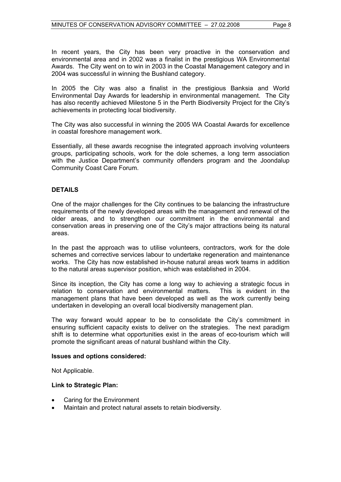In recent years, the City has been very proactive in the conservation and environmental area and in 2002 was a finalist in the prestigious WA Environmental Awards. The City went on to win in 2003 in the Coastal Management category and in 2004 was successful in winning the Bushland category.

In 2005 the City was also a finalist in the prestigious Banksia and World Environmental Day Awards for leadership in environmental management. The City has also recently achieved Milestone 5 in the Perth Biodiversity Project for the City's achievements in protecting local biodiversity.

The City was also successful in winning the 2005 WA Coastal Awards for excellence in coastal foreshore management work.

Essentially, all these awards recognise the integrated approach involving volunteers groups, participating schools, work for the dole schemes, a long term association with the Justice Department's community offenders program and the Joondalup Community Coast Care Forum.

# **DETAILS**

One of the major challenges for the City continues to be balancing the infrastructure requirements of the newly developed areas with the management and renewal of the older areas, and to strengthen our commitment in the environmental and conservation areas in preserving one of the City's major attractions being its natural areas.

In the past the approach was to utilise volunteers, contractors, work for the dole schemes and corrective services labour to undertake regeneration and maintenance works. The City has now established in-house natural areas work teams in addition to the natural areas supervisor position, which was established in 2004.

Since its inception, the City has come a long way to achieving a strategic focus in relation to conservation and environmental matters. This is evident in the management plans that have been developed as well as the work currently being undertaken in developing an overall local biodiversity management plan.

The way forward would appear to be to consolidate the City's commitment in ensuring sufficient capacity exists to deliver on the strategies. The next paradigm shift is to determine what opportunities exist in the areas of eco-tourism which will promote the significant areas of natural bushland within the City.

#### **Issues and options considered:**

Not Applicable.

#### **Link to Strategic Plan:**

- Caring for the Environment
- Maintain and protect natural assets to retain biodiversity.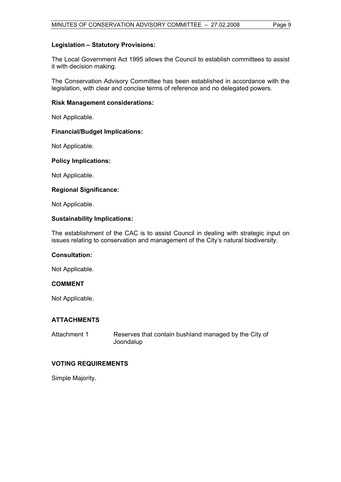# **Legislation – Statutory Provisions:**

The Local Government Act 1995 allows the Council to establish committees to assist it with decision making.

The Conservation Advisory Committee has been established in accordance with the legislation, with clear and concise terms of reference and no delegated powers.

#### **Risk Management considerations:**

Not Applicable.

#### **Financial/Budget Implications:**

Not Applicable.

#### **Policy Implications:**

Not Applicable.

#### **Regional Significance:**

Not Applicable.

#### **Sustainability Implications:**

The establishment of the CAC is to assist Council in dealing with strategic input on issues relating to conservation and management of the City's natural biodiversity.

# **Consultation:**

Not Applicable.

# **COMMENT**

Not Applicable.

#### **ATTACHMENTS**

| Attachment 1 | Reserves that contain bushland managed by the City of |
|--------------|-------------------------------------------------------|
|              | Joondalup                                             |

# **VOTING REQUIREMENTS**

Simple Majority.